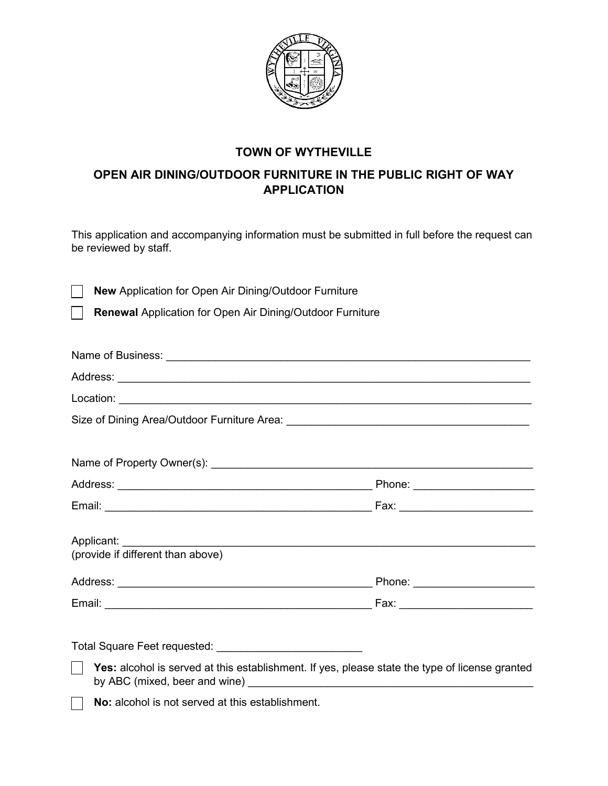

## **TOWN OF WYTHEVILLE**

## **OPEN AIR DINING/OUTDOOR FURNITURE IN THE PUBLIC RIGHT OF WAY APPLICATION**

This application and accompanying information must be submitted in full before the request can be reviewed by staff.

**New** Application for Open Air Dining/Outdoor Furniture  $\mathbf{I}$ 

**Renewal** Application for Open Air Dining/Outdoor Furniture

| (provide if different than above)                                                              |  |
|------------------------------------------------------------------------------------------------|--|
|                                                                                                |  |
|                                                                                                |  |
| Yes: alcohol is served at this establishment. If yes, please state the type of license granted |  |
| No: alcohol is not served at this establishment.                                               |  |